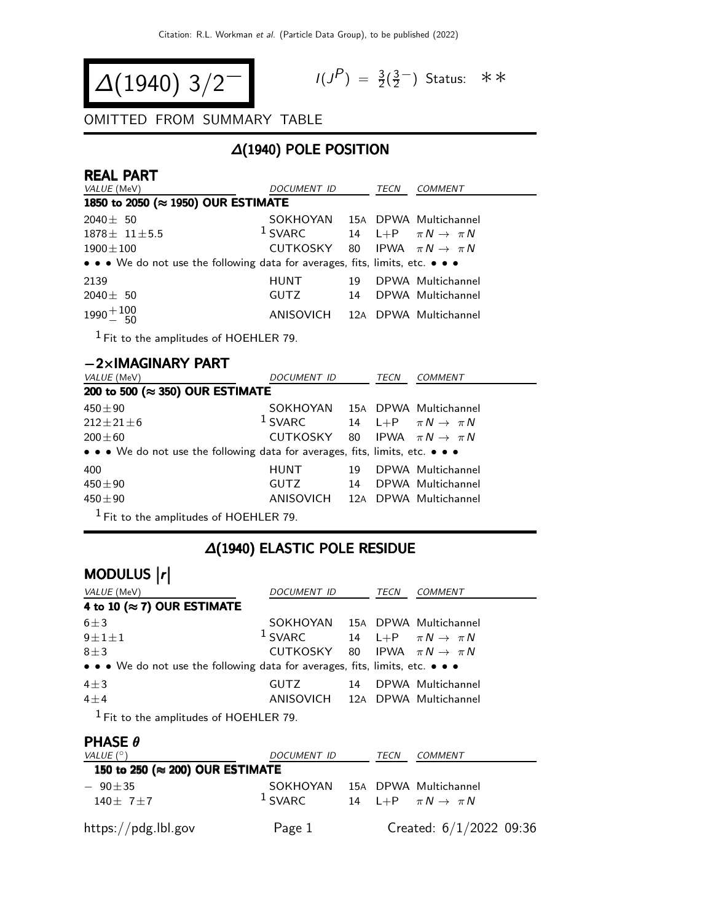$$
\Delta(1940) 3/2^{-1}
$$

$$
I(J^P) = \frac{3}{2}(\frac{3}{2}^{-})
$$
 Status:  $\ast \ast$ 

#### OMITTED FROM SUMMARY TABLE

### ∆(1940) POLE POSITION

| <b>REAL PART</b>                                                              |                                            |    |      |                                  |
|-------------------------------------------------------------------------------|--------------------------------------------|----|------|----------------------------------|
| VALUE (MeV)                                                                   | DOCUMENT ID                                |    | TECN | COMMENT                          |
| 1850 to 2050 (≈ 1950) OUR ESTIMATE                                            |                                            |    |      |                                  |
| $2040 \pm 50$                                                                 | SOKHOYAN 15A DPWA Multichannel             |    |      |                                  |
| $1878 \pm 11 \pm 5.5$                                                         | $1$ SVARC                                  |    |      | 14 L+P $\pi N \rightarrow \pi N$ |
| $1900 \pm 100$                                                                | CUTKOSKY 80 IPWA $\pi N \rightarrow \pi N$ |    |      |                                  |
| • • • We do not use the following data for averages, fits, limits, etc. • • • |                                            |    |      |                                  |
| 2139                                                                          | <b>HUNT</b>                                | 19 |      | DPWA Multichannel                |
| $2040 \pm 50$                                                                 | GUTZ                                       | 14 |      | DPWA Multichannel                |
| $1990 + 100$<br>$- 50$                                                        | ANISOVICH 12A DPWA Multichannel            |    |      |                                  |

1 Fit to the amplitudes of HOEHLER 79.

| $-2\times$ IMAGINARY PART                                                     |                                            |    |      |                               |
|-------------------------------------------------------------------------------|--------------------------------------------|----|------|-------------------------------|
| <i>VALUE</i> (MeV)                                                            | DOCUMENT ID                                |    | TECN | <b>COMMENT</b>                |
| 200 to 500 ( $\approx$ 350) OUR ESTIMATE                                      |                                            |    |      |                               |
| $450 + 90$                                                                    | <b>SOKHOYAN</b>                            |    |      | 15A DPWA Multichannel         |
| $212 + 21 + 6$                                                                | $1$ SVARC                                  | 14 |      | L+P $\pi N \rightarrow \pi N$ |
| $200 + 60$                                                                    | CUTKOSKY 80 IPWA $\pi N \rightarrow \pi N$ |    |      |                               |
| • • • We do not use the following data for averages, fits, limits, etc. • • • |                                            |    |      |                               |
| 400                                                                           | <b>HUNT</b>                                | 19 |      | DPWA Multichannel             |
| $450 + 90$                                                                    | <b>GUTZ</b>                                | 14 |      | DPWA Multichannel             |
| $450 \pm 90$                                                                  | ANISOVICH 12A DPWA Multichannel            |    |      |                               |
| $1$ Fit to the amplitudes of HOEHLER 79.                                      |                                            |    |      |                               |

### ∆(1940) ELASTIC POLE RESIDUE

| MODULUS  r                                                                    |                                            |    |      |                                  |  |  |  |
|-------------------------------------------------------------------------------|--------------------------------------------|----|------|----------------------------------|--|--|--|
| VALUE (MeV)                                                                   | DOCUMENT ID                                |    | TECN | <b>COMMENT</b>                   |  |  |  |
| 4 to 10 ( $\approx$ 7) OUR ESTIMATE                                           |                                            |    |      |                                  |  |  |  |
| $6 \pm 3$                                                                     | SOKHOYAN 15A DPWA Multichannel             |    |      |                                  |  |  |  |
| $9 \pm 1 \pm 1$                                                               | $1$ SVARC                                  |    |      | 14 L+P $\pi N \rightarrow \pi N$ |  |  |  |
| $8 \pm 3$                                                                     | CUTKOSKY 80 IPWA $\pi N \rightarrow \pi N$ |    |      |                                  |  |  |  |
| • • • We do not use the following data for averages, fits, limits, etc. • • • |                                            |    |      |                                  |  |  |  |
| $4\pm3$                                                                       | GUTZ                                       | 14 |      | DPWA Multichannel                |  |  |  |
| $4\pm4$                                                                       | ANISOVICH 12A DPWA Multichannel            |    |      |                                  |  |  |  |
| $1$ $\Gamma$ is the smallender of HOEHLED 70.                                 |                                            |    |      |                                  |  |  |  |

1 Fit to the amplitudes of HOEHLER 79.

#### PHASE θ

| VALUE $(^\circ)$                | DOCUMENT ID           | TECN | <i>COMMENT</i>                                            |
|---------------------------------|-----------------------|------|-----------------------------------------------------------|
| 150 to 250 (≈ 200) OUR ESTIMATE |                       |      |                                                           |
| $-90 \pm 35$<br>$140 + 7 + 7$   | SOKHOYAN<br>$1$ SVARC |      | 15A DPWA Multichannel<br>14 L+P $\pi N \rightarrow \pi N$ |
| https://pdg.lbl.gov             | Page 1                |      | Created: $6/1/2022$ 09:36                                 |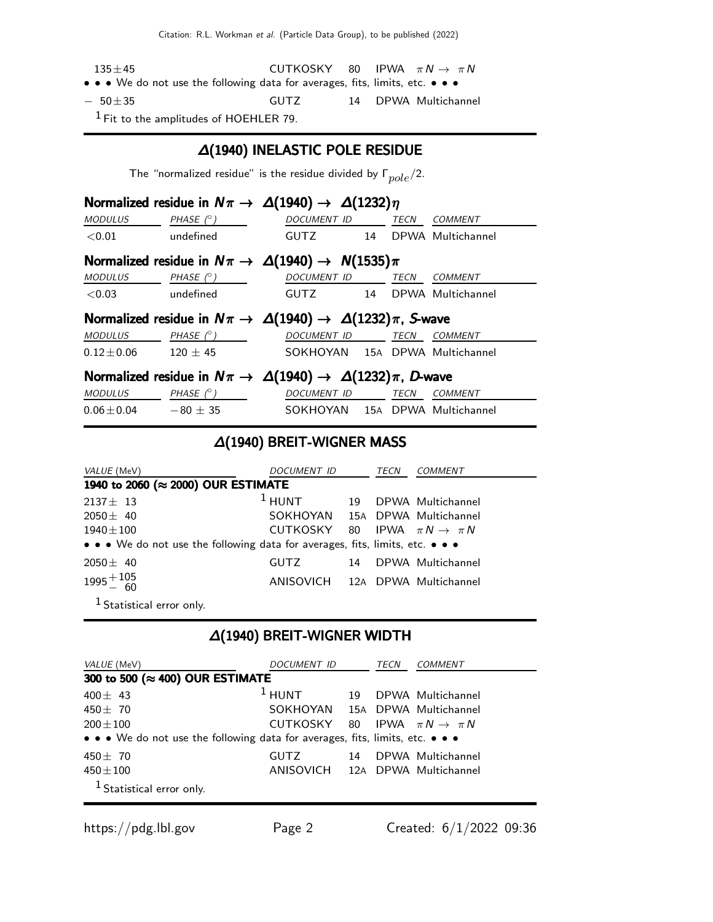Citation: R.L. Workman et al. (Particle Data Group), to be published (2022)

| $135 + 45$                                                                                                            | CUTKOSKY |  | 80 IPWA $\pi N \rightarrow \pi N$ |
|-----------------------------------------------------------------------------------------------------------------------|----------|--|-----------------------------------|
| $\bullet \bullet \bullet$ We do not use the following data for averages, fits, limits, etc. $\bullet \bullet \bullet$ |          |  |                                   |
| $-50+35$                                                                                                              | GUTZ.    |  | 14 DPWA Multichannel              |

1 Fit to the amplitudes of HOEHLER 79.

#### ∆(1940) INELASTIC POLE RESIDUE

The "normalized residue" is the residue divided by  $\Gamma_{pole}/2$ .

|                              |                              | Normalized residue in $N\pi \to \Delta(1940) \to \Delta(1232)\eta$         |             |                |
|------------------------------|------------------------------|----------------------------------------------------------------------------|-------------|----------------|
| <b>MODULUS</b>               | PHASE $(°)$                  | <b>DOCUMENT ID</b>                                                         | <b>TECN</b> | COMMENT        |
| $<$ 0.01 $\,$                | undefined                    | GUTZ 14 DPWA Multichannel                                                  |             |                |
|                              |                              | Normalized residue in $N\pi \to \Delta(1940) \to N(1535)\pi$               |             |                |
| <b>MODULUS</b>               | PHASE (° )                   | DOCUMENT ID TECN                                                           |             | COMMENT        |
| $<$ 0.03                     | undefined                    | GUTZ 14 DPWA Multichannel                                                  |             |                |
|                              |                              | Normalized residue in $N\pi \to \Delta(1940) \to \Delta(1232)\pi$ , S-wave |             |                |
| MODULUS                      | PHASE $(^\circ)$             | DOCUMENT ID TECN                                                           |             | <b>COMMENT</b> |
| $0.12 \pm 0.06$ $120 \pm 45$ |                              | SOKHOYAN 15A DPWA Multichannel                                             |             |                |
|                              |                              | Normalized residue in $N\pi \to \Delta(1940) \to \Delta(1232)\pi$ , D-wave |             |                |
| <i>MODULUS</i>               | PHASE (° )                   | DOCUMENT ID TECN                                                           |             | <b>COMMENT</b> |
|                              | $0.06 \pm 0.04$ $-80 \pm 35$ | SOKHOYAN 15A DPWA Multichannel                                             |             |                |

#### ∆(1940) BREIT-WIGNER MASS

| VALUE (MeV)                                                                   | DOCUMENT ID                                |    | TECN | COMMENT              |
|-------------------------------------------------------------------------------|--------------------------------------------|----|------|----------------------|
| 1940 to 2060 (≈ 2000) OUR ESTIMATE                                            |                                            |    |      |                      |
| $2137 \pm 13$                                                                 | $1$ HUNT                                   | 19 |      | DPWA Multichannel    |
| $2050 \pm 40$                                                                 | SOKHOYAN 15A DPWA Multichannel             |    |      |                      |
| $1940\pm100$                                                                  | CUTKOSKY 80 IPWA $\pi N \rightarrow \pi N$ |    |      |                      |
| • • • We do not use the following data for averages, fits, limits, etc. • • • |                                            |    |      |                      |
| $2050 \pm 40$                                                                 | GUTZ                                       |    |      | 14 DPWA Multichannel |
| $1995 + {105 \over 60}$                                                       | ANISOVICH 12A DPWA Multichannel            |    |      |                      |
| <sup>1</sup> Statistical error only.                                          |                                            |    |      |                      |

# ∆(1940) BREIT-WIGNER WIDTH

| VALUE (MeV)                                                                   | DOCUMENT ID                                |    | TECN | COMMENT              |
|-------------------------------------------------------------------------------|--------------------------------------------|----|------|----------------------|
| 300 to 500 (≈ 400) OUR ESTIMATE                                               |                                            |    |      |                      |
| 400 $\pm$ 43                                                                  | $1$ HUNT                                   |    |      | 19 DPWA Multichannel |
| $450 + 70$                                                                    | SOKHOYAN 15A DPWA Multichannel             |    |      |                      |
| $200 + 100$                                                                   | CUTKOSKY 80 IPWA $\pi N \rightarrow \pi N$ |    |      |                      |
| • • • We do not use the following data for averages, fits, limits, etc. • • • |                                            |    |      |                      |
| $450 + 70$                                                                    | GUTZ                                       | 14 |      | DPWA Multichannel    |
| $450\pm100$                                                                   | ANISOVICH 12A DPWA Multichannel            |    |      |                      |
| <sup>1</sup> Statistical error only.                                          |                                            |    |      |                      |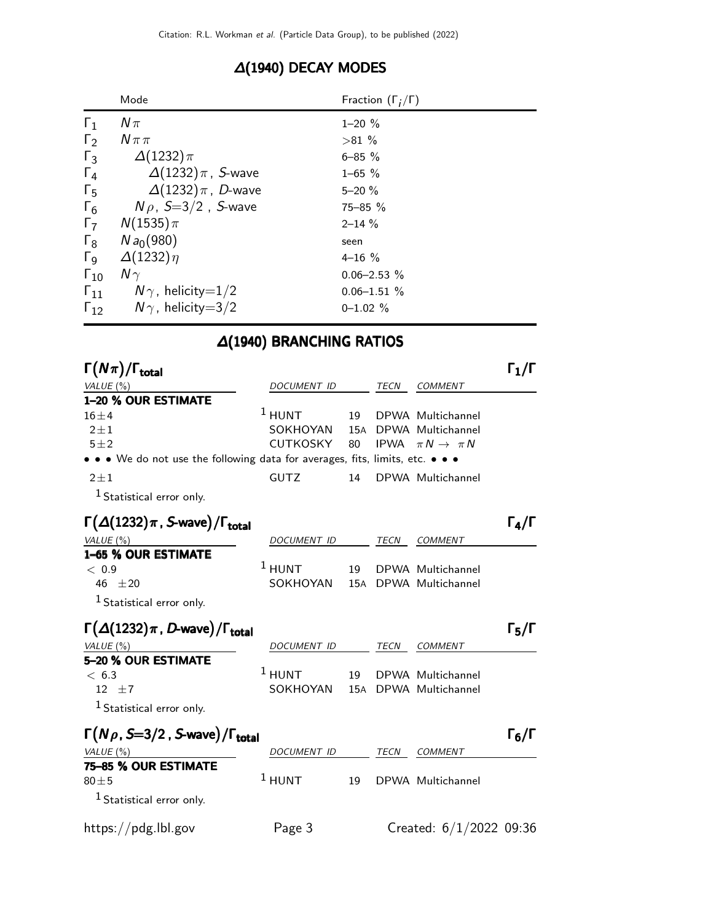|                       | Mode                       | Fraction $(\Gamma_i/\Gamma)$ |
|-----------------------|----------------------------|------------------------------|
| $\Gamma_1$            | $N\pi$                     | $1 - 20 \%$                  |
| $\Gamma_2$            | $N \pi \pi$                | $>81\%$                      |
| $\Gamma_3$            | $\Delta(1232)\pi$          | $6 - 85 \%$                  |
| $\Gamma_4$            | $\Delta(1232)\pi$ , S-wave | $1 - 65 \%$                  |
| $\Gamma_5$            | $\Delta(1232)\pi$ , D-wave | $5 - 20%$                    |
| $\Gamma_6$            | $N \rho$ , S=3/2, S-wave   | $75 - 85 \%$                 |
| $\Gamma_7$            | $N(1535)\pi$               | $2 - 14 \%$                  |
| $\Gamma_8$            | $N a_0(980)$               | seen                         |
| $\Gamma$ <sub>9</sub> | $\Delta(1232)\eta$         | $4 - 16 \%$                  |
| $\Gamma_{10}$         | $N\gamma$                  | $0.06 - 2.53 %$              |
| $\Gamma_{11}$         | $N\gamma$ , helicity=1/2   | $0.06 - 1.51 \%$             |
| $\Gamma_{12}$         | $N\gamma$ , helicity=3/2   | $0 - 1.02 \%$                |

### ∆(1940) DECAY MODES

# ∆(1940) BRANCHING RATIOS

| $\Gamma(N\pi)/\Gamma_{\rm total}$                                             |                    |     |             |                                | $\Gamma_1/\Gamma$ |
|-------------------------------------------------------------------------------|--------------------|-----|-------------|--------------------------------|-------------------|
| VALUE $(\%)$                                                                  | DOCUMENT ID        |     | <b>TECN</b> | <b>COMMENT</b>                 |                   |
| 1-20 % OUR ESTIMATE                                                           |                    |     |             |                                |                   |
| $16 \pm 4$                                                                    | $1$ HUNT           | 19  |             | DPWA Multichannel              |                   |
| $2 \pm 1$                                                                     | SOKHOYAN           | 15A |             | DPWA Multichannel              |                   |
| $5\pm2$                                                                       | CUTKOSKY           | 80  |             | IPWA $\pi N \rightarrow \pi N$ |                   |
| • • • We do not use the following data for averages, fits, limits, etc. • • • |                    |     |             |                                |                   |
| $2 \pm 1$                                                                     | <b>GUTZ</b>        | 14  |             | DPWA Multichannel              |                   |
| $1$ Statistical error only.                                                   |                    |     |             |                                |                   |
| $\Gamma(\Delta(1232)\pi, S$ -wave)/ $\Gamma_{total}$                          |                    |     |             |                                | $\Gamma_4/\Gamma$ |
| VALUE $(\%)$                                                                  | DOCUMENT ID        |     | <b>TECN</b> | <b>COMMENT</b>                 |                   |
| 1-65 % OUR ESTIMATE                                                           |                    |     |             |                                |                   |
| < 0.9                                                                         | $1$ HUNT           | 19  |             | DPWA Multichannel              |                   |
| 46 $\pm 20$                                                                   | SOKHOYAN           | 15A |             | DPWA Multichannel              |                   |
| <sup>1</sup> Statistical error only.                                          |                    |     |             |                                |                   |
| $\Gamma(\Delta(1232)\pi, D$ -wave)/ $\Gamma_{\text{total}}$                   |                    |     |             |                                | $\Gamma_5/\Gamma$ |
| VALUE (%)                                                                     | <b>DOCUMENT ID</b> |     | <b>TECN</b> | <b>COMMENT</b>                 |                   |
| 5-20 % OUR ESTIMATE                                                           |                    |     |             |                                |                   |
| < 6.3                                                                         | $^1$ HUNT          | 19  |             | DPWA Multichannel              |                   |
| 12 $\pm 7$                                                                    | SOKHOYAN           | 15A |             | DPWA Multichannel              |                   |
| $^1$ Statistical error only.                                                  |                    |     |             |                                |                   |
| $\Gamma(N\rho, S=3/2, S$ -wave)/ $\Gamma_{\text{total}}$                      |                    |     |             |                                | $\Gamma_6/\Gamma$ |
| VALUE(%)                                                                      | DOCUMENT ID        |     | <b>TECN</b> | COMMENT                        |                   |
| 75-85 % OUR ESTIMATE                                                          |                    |     |             |                                |                   |
| $80 + 5$                                                                      | $1$ HUNT           | 19  |             | DPWA Multichannel              |                   |
| <sup>1</sup> Statistical error only.                                          |                    |     |             |                                |                   |
| https://pdg.lbl.gov                                                           | Page 3             |     |             | Created: $6/1/2022$ 09:36      |                   |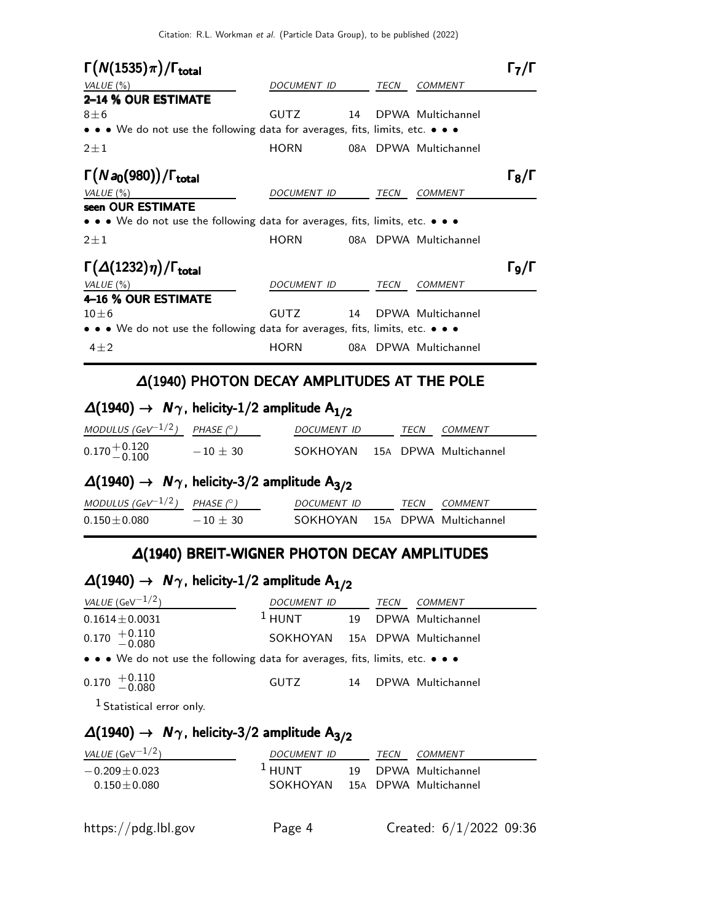Citation: R.L. Workman et al. (Particle Data Group), to be published (2022)

| $\Gamma(N(1535)\pi)/\Gamma_{\rm total}$                                                                                       |             |     |             |                   |                   |
|-------------------------------------------------------------------------------------------------------------------------------|-------------|-----|-------------|-------------------|-------------------|
| VALUE $(\%)$                                                                                                                  | DOCUMENT ID |     | TECN        | <b>COMMENT</b>    |                   |
| 2-14 % OUR ESTIMATE                                                                                                           |             |     |             |                   |                   |
| $8\pm 6$                                                                                                                      | <b>GUTZ</b> | 14  |             | DPWA Multichannel |                   |
| • • • We do not use the following data for averages, fits, limits, etc. • • •                                                 |             |     |             |                   |                   |
| $2 \pm 1$                                                                                                                     | <b>HORN</b> | 08A |             | DPWA Multichannel |                   |
| $\Gamma(Na_0(980))/\Gamma_{\text{total}}$                                                                                     |             |     |             |                   | $\Gamma_8/\Gamma$ |
| VALUE $(\%)$                                                                                                                  | DOCUMENT ID |     | TECN        | <b>COMMENT</b>    |                   |
| seen OUR ESTIMATE                                                                                                             |             |     |             |                   |                   |
| $\bullet$ $\bullet$ $\bullet$ We do not use the following data for averages, fits, limits, etc. $\bullet$ $\bullet$ $\bullet$ |             |     |             |                   |                   |
| $2 \pm 1$                                                                                                                     | <b>HORN</b> | 08A |             | DPWA Multichannel |                   |
| $\Gamma(\Delta(1232)\eta)/\Gamma_{\rm total}$                                                                                 |             |     |             |                   | ا/و ا             |
| VALUE $(\%)$                                                                                                                  | DOCUMENT ID |     | <b>TECN</b> | COMMENT           |                   |
| 4-16 % OUR ESTIMATE                                                                                                           |             |     |             |                   |                   |
| $10+6$                                                                                                                        | <b>GUTZ</b> | 14  |             | DPWA Multichannel |                   |
| $\bullet \bullet \bullet$ We do not use the following data for averages, fits, limits, etc. $\bullet \bullet \bullet$         |             |     |             |                   |                   |
| $4\pm 2$                                                                                                                      | <b>HORN</b> | 08A |             | DPWA Multichannel |                   |

#### ∆(1940) PHOTON DECAY AMPLITUDES AT THE POLE

# $\Delta(1940)$  →  $N_{\gamma}$ , helicity-1/2 amplitude  $A_{1/2}$

| MODULUS (GeV $^{-1/2}$ ) PHASE (°) |            | <i>DOCUMENT ID</i>             | <b>TFCN</b> | <i>COMMENT</i> |
|------------------------------------|------------|--------------------------------|-------------|----------------|
| $0.170 + 0.120$<br>-0.100          | $-10 + 30$ | SOKHOYAN 15A DPWA Multichannel |             |                |

# $\Delta(1940)$  →  $N_{\gamma}$ , helicity-3/2 amplitude A<sub>3/2</sub>

| MODULUS (GeV $^{-1/2}$ ) PHASE (° ) |            | <i>DOCUMENT ID</i>             |  | TECN COMMENT |
|-------------------------------------|------------|--------------------------------|--|--------------|
| $0.150\pm0.080$                     | $-10 + 30$ | SOKHOYAN 15A DPWA Multichannel |  |              |

### ∆(1940) BREIT-WIGNER PHOTON DECAY AMPLITUDES

# $\Delta(1940)$  →  $N_{\gamma}$ , helicity-1/2 amplitude  $A_{1/2}$

| <i>VALUE</i> (GeV $^{-1/2}$ )                                                 | DOCUMENT ID                    |    | TECN | COMMENT           |
|-------------------------------------------------------------------------------|--------------------------------|----|------|-------------------|
| $0.1614 \pm 0.0031$                                                           | $1$ HUNT                       | 19 |      | DPWA Multichannel |
| $0.170$ $^{+0.110}_{-0.080}$                                                  | SOKHOYAN 15A DPWA Multichannel |    |      |                   |
| • • • We do not use the following data for averages, fits, limits, etc. • • • |                                |    |      |                   |
| $0.170^{+0.110}_{-0.080}$                                                     | GUTZ                           | 14 |      | DPWA Multichannel |

1 Statistical error only.

# $\Delta(1940)$  →  $N\gamma$ , helicity-3/2 amplitude  $A_{3/2}$

| <i>VALUE</i> (GeV $^{-1/2}$ ) | <i>DOCUMENT ID</i> | TECN | <i>COMMENT</i>        |
|-------------------------------|--------------------|------|-----------------------|
| $-0.209 \pm 0.023$            | + HUNT             |      | 19 DPWA Multichannel  |
| $0.150 \pm 0.080$             | SOKHOYAN           |      | 15A DPWA Multichannel |
|                               |                    |      |                       |
|                               |                    |      |                       |